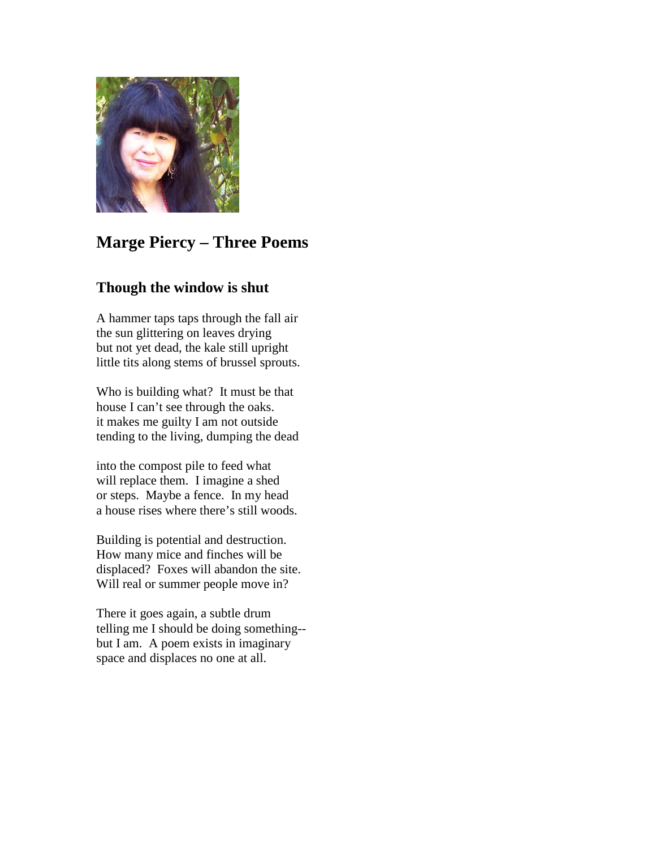

## **Marge Piercy – Three Poems**

## **Though the window is shut**

A hammer taps taps through the fall air the sun glittering on leaves drying but not yet dead, the kale still upright little tits along stems of brussel sprouts.

Who is building what? It must be that house I can't see through the oaks. it makes me guilty I am not outside tending to the living, dumping the dead

into the compost pile to feed what will replace them. I imagine a shed or steps. Maybe a fence. In my head a house rises where there's still woods.

Building is potential and destruction. How many mice and finches will be displaced? Foxes will abandon the site. Will real or summer people move in?

There it goes again, a subtle drum telling me I should be doing something- but I am. A poem exists in imaginary space and displaces no one at all.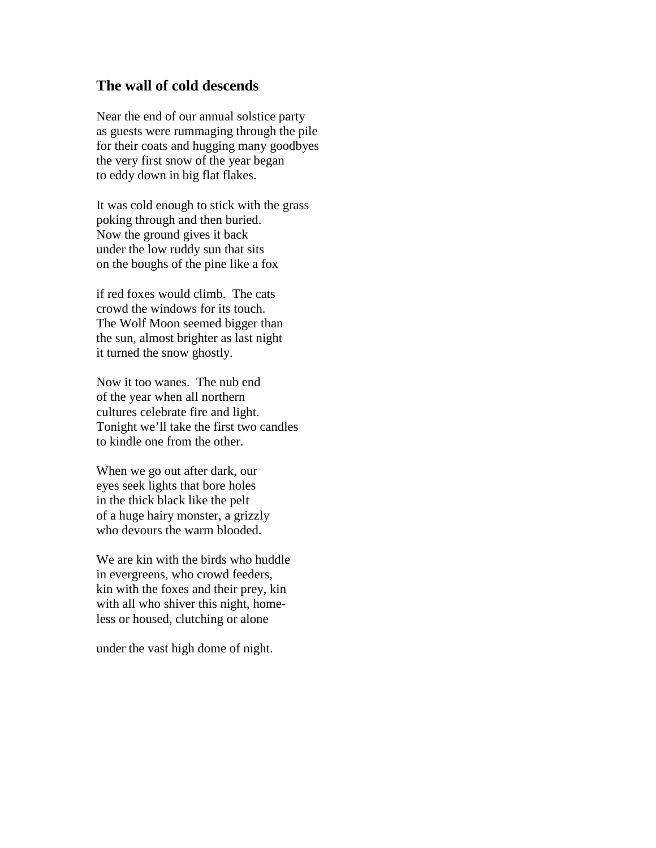## **The wall of cold descends**

Near the end of our annual solstice party as guests were rummaging through the pile for their coats and hugging many goodbyes the very first snow of the year began to eddy down in big flat flakes.

It was cold enough to stick with the grass poking through and then buried. Now the ground gives it back under the low ruddy sun that sits on the boughs of the pine like a fox

if red foxes would climb. The cats crowd the windows for its touch. The Wolf Moon seemed bigger than the sun, almost brighter as last night it turned the snow ghostly.

Now it too wanes. The nub end of the year when all northern cultures celebrate fire and light. Tonight we'll take the first two candles to kindle one from the other.

When we go out after dark, our eyes seek lights that bore holes in the thick black like the pelt of a huge hairy monster, a grizzly who devours the warm blooded.

We are kin with the birds who huddle in evergreens, who crowd feeders, kin with the foxes and their prey, kin with all who shiver this night, homeless or housed, clutching or alone

under the vast high dome of night.